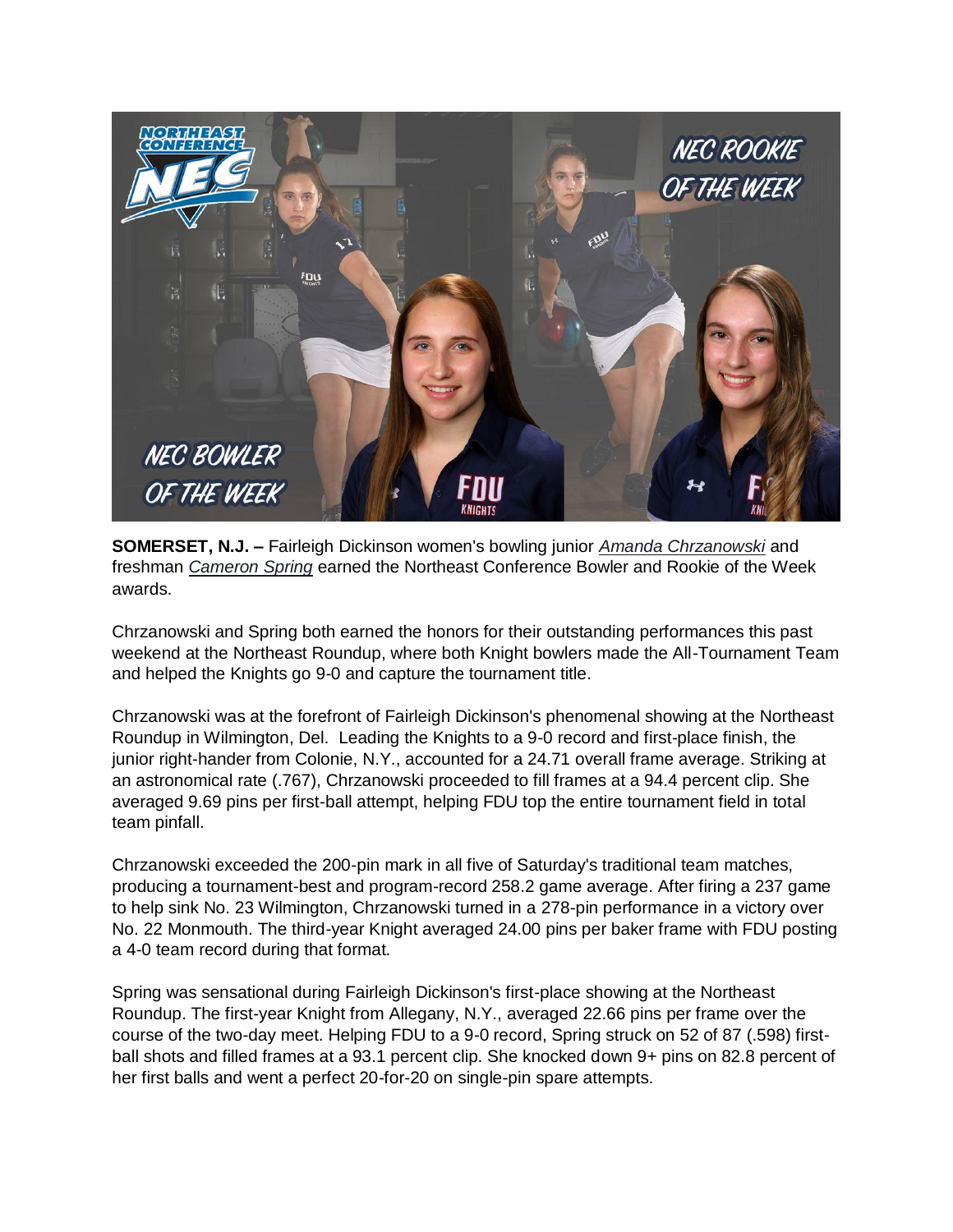

**SOMERSET, N.J. –** Fairleigh Dickinson women's bowling junior *[Amanda Chrzanowski](https://fduknights.com/roster.aspx?rp_id=5385)* and freshman *[Cameron Spring](https://fduknights.com/roster.aspx?rp_id=5394)* earned the Northeast Conference Bowler and Rookie of the Week awards.

Chrzanowski and Spring both earned the honors for their outstanding performances this past weekend at the Northeast Roundup, where both Knight bowlers made the All-Tournament Team and helped the Knights go 9-0 and capture the tournament title.

Chrzanowski was at the forefront of Fairleigh Dickinson's phenomenal showing at the Northeast Roundup in Wilmington, Del. Leading the Knights to a 9-0 record and first-place finish, the junior right-hander from Colonie, N.Y., accounted for a 24.71 overall frame average. Striking at an astronomical rate (.767), Chrzanowski proceeded to fill frames at a 94.4 percent clip. She averaged 9.69 pins per first-ball attempt, helping FDU top the entire tournament field in total team pinfall.

Chrzanowski exceeded the 200-pin mark in all five of Saturday's traditional team matches, producing a tournament-best and program-record 258.2 game average. After firing a 237 game to help sink No. 23 Wilmington, Chrzanowski turned in a 278-pin performance in a victory over No. 22 Monmouth. The third-year Knight averaged 24.00 pins per baker frame with FDU posting a 4-0 team record during that format.

Spring was sensational during Fairleigh Dickinson's first-place showing at the Northeast Roundup. The first-year Knight from Allegany, N.Y., averaged 22.66 pins per frame over the course of the two-day meet. Helping FDU to a 9-0 record, Spring struck on 52 of 87 (.598) firstball shots and filled frames at a 93.1 percent clip. She knocked down 9+ pins on 82.8 percent of her first balls and went a perfect 20-for-20 on single-pin spare attempts.